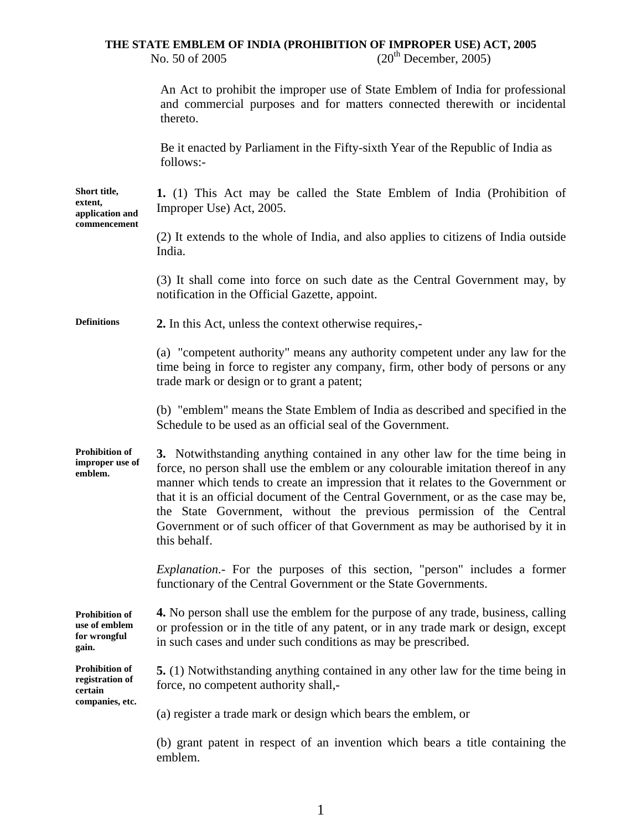### **THE STATE EMBLEM OF INDIA (PROHIBITION OF IMPROPER USE) ACT, 2005**  No. 50 of 2005 (20<sup>th</sup> December, 2005)

|                                                                        | An Act to prohibit the improper use of State Emblem of India for professional<br>and commercial purposes and for matters connected therewith or incidental<br>thereto.                                                                                                                                                                                                                                                                                                                                             |
|------------------------------------------------------------------------|--------------------------------------------------------------------------------------------------------------------------------------------------------------------------------------------------------------------------------------------------------------------------------------------------------------------------------------------------------------------------------------------------------------------------------------------------------------------------------------------------------------------|
|                                                                        | Be it enacted by Parliament in the Fifty-sixth Year of the Republic of India as<br>follows:-                                                                                                                                                                                                                                                                                                                                                                                                                       |
| Short title,<br>extent,<br>application and<br>commencement             | 1. (1) This Act may be called the State Emblem of India (Prohibition of<br>Improper Use) Act, 2005.                                                                                                                                                                                                                                                                                                                                                                                                                |
|                                                                        | (2) It extends to the whole of India, and also applies to citizens of India outside<br>India.                                                                                                                                                                                                                                                                                                                                                                                                                      |
|                                                                        | (3) It shall come into force on such date as the Central Government may, by<br>notification in the Official Gazette, appoint.                                                                                                                                                                                                                                                                                                                                                                                      |
| <b>Definitions</b>                                                     | 2. In this Act, unless the context otherwise requires,-                                                                                                                                                                                                                                                                                                                                                                                                                                                            |
|                                                                        | (a) "competent authority" means any authority competent under any law for the<br>time being in force to register any company, firm, other body of persons or any<br>trade mark or design or to grant a patent;                                                                                                                                                                                                                                                                                                     |
|                                                                        | (b) "emblem" means the State Emblem of India as described and specified in the<br>Schedule to be used as an official seal of the Government.                                                                                                                                                                                                                                                                                                                                                                       |
| <b>Prohibition of</b><br>improper use of<br>emblem.                    | 3. Notwithstanding anything contained in any other law for the time being in<br>force, no person shall use the emblem or any colourable imitation thereof in any<br>manner which tends to create an impression that it relates to the Government or<br>that it is an official document of the Central Government, or as the case may be,<br>the State Government, without the previous permission of the Central<br>Government or of such officer of that Government as may be authorised by it in<br>this behalf. |
|                                                                        | <i>Explanation</i> . For the purposes of this section, "person" includes a former<br>functionary of the Central Government or the State Governments.                                                                                                                                                                                                                                                                                                                                                               |
| <b>Prohibition of</b><br>use of emblem<br>for wrongful<br>gain.        | 4. No person shall use the emblem for the purpose of any trade, business, calling<br>or profession or in the title of any patent, or in any trade mark or design, except<br>in such cases and under such conditions as may be prescribed.                                                                                                                                                                                                                                                                          |
| <b>Prohibition of</b><br>registration of<br>certain<br>companies, etc. | 5. (1) Notwithstanding anything contained in any other law for the time being in<br>force, no competent authority shall,-                                                                                                                                                                                                                                                                                                                                                                                          |
|                                                                        | (a) register a trade mark or design which bears the emblem, or                                                                                                                                                                                                                                                                                                                                                                                                                                                     |
|                                                                        | (b) grant patent in respect of an invention which bears a title containing the<br>emblem.                                                                                                                                                                                                                                                                                                                                                                                                                          |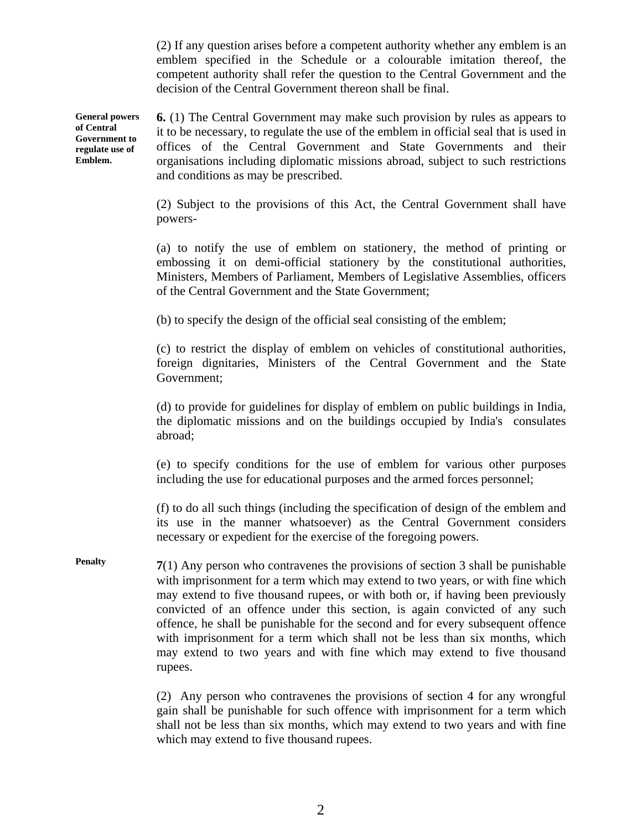(2) If any question arises before a competent authority whether any emblem is an emblem specified in the Schedule or a colourable imitation thereof, the competent authority shall refer the question to the Central Government and the decision of the Central Government thereon shall be final.

**General powers of Central Government to regulate use of Emblem. 6.** (1) The Central Government may make such provision by rules as appears to it to be necessary, to regulate the use of the emblem in official seal that is used in offices of the Central Government and State Governments and their organisations including diplomatic missions abroad, subject to such restrictions and conditions as may be prescribed.

> (2) Subject to the provisions of this Act, the Central Government shall have powers-

> (a) to notify the use of emblem on stationery, the method of printing or embossing it on demi-official stationery by the constitutional authorities, Ministers, Members of Parliament, Members of Legislative Assemblies, officers of the Central Government and the State Government;

(b) to specify the design of the official seal consisting of the emblem;

(c) to restrict the display of emblem on vehicles of constitutional authorities, foreign dignitaries, Ministers of the Central Government and the State Government;

(d) to provide for guidelines for display of emblem on public buildings in India, the diplomatic missions and on the buildings occupied by India's consulates abroad;

(e) to specify conditions for the use of emblem for various other purposes including the use for educational purposes and the armed forces personnel;

(f) to do all such things (including the specification of design of the emblem and its use in the manner whatsoever) as the Central Government considers necessary or expedient for the exercise of the foregoing powers.

**Penalty 7**(1) Any person who contravenes the provisions of section 3 shall be punishable with imprisonment for a term which may extend to two years, or with fine which may extend to five thousand rupees, or with both or, if having been previously convicted of an offence under this section, is again convicted of any such offence, he shall be punishable for the second and for every subsequent offence with imprisonment for a term which shall not be less than six months, which may extend to two years and with fine which may extend to five thousand rupees.

> (2) Any person who contravenes the provisions of section 4 for any wrongful gain shall be punishable for such offence with imprisonment for a term which shall not be less than six months, which may extend to two years and with fine which may extend to five thousand rupees.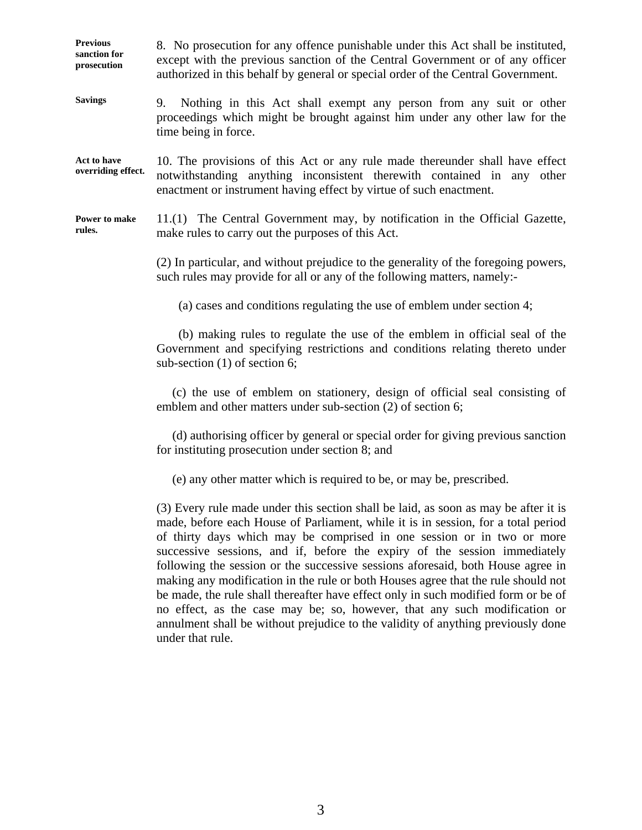**Previous sanction for prosecution**  8. No prosecution for any offence punishable under this Act shall be instituted, except with the previous sanction of the Central Government or of any officer authorized in this behalf by general or special order of the Central Government.

**Savings**  9. Nothing in this Act shall exempt any person from any suit or other proceedings which might be brought against him under any other law for the time being in force.

**Act to have overriding effect.**  10. The provisions of this Act or any rule made thereunder shall have effect notwithstanding anything inconsistent therewith contained in any other enactment or instrument having effect by virtue of such enactment.

**Power to make rules.**  11.(1) The Central Government may, by notification in the Official Gazette, make rules to carry out the purposes of this Act.

> (2) In particular, and without prejudice to the generality of the foregoing powers, such rules may provide for all or any of the following matters, namely:-

(a) cases and conditions regulating the use of emblem under section 4;

 (b) making rules to regulate the use of the emblem in official seal of the Government and specifying restrictions and conditions relating thereto under sub-section (1) of section 6;

 (c) the use of emblem on stationery, design of official seal consisting of emblem and other matters under sub-section (2) of section 6;

 (d) authorising officer by general or special order for giving previous sanction for instituting prosecution under section 8; and

(e) any other matter which is required to be, or may be, prescribed.

(3) Every rule made under this section shall be laid, as soon as may be after it is made, before each House of Parliament, while it is in session, for a total period of thirty days which may be comprised in one session or in two or more successive sessions, and if, before the expiry of the session immediately following the session or the successive sessions aforesaid, both House agree in making any modification in the rule or both Houses agree that the rule should not be made, the rule shall thereafter have effect only in such modified form or be of no effect, as the case may be; so, however, that any such modification or annulment shall be without prejudice to the validity of anything previously done under that rule.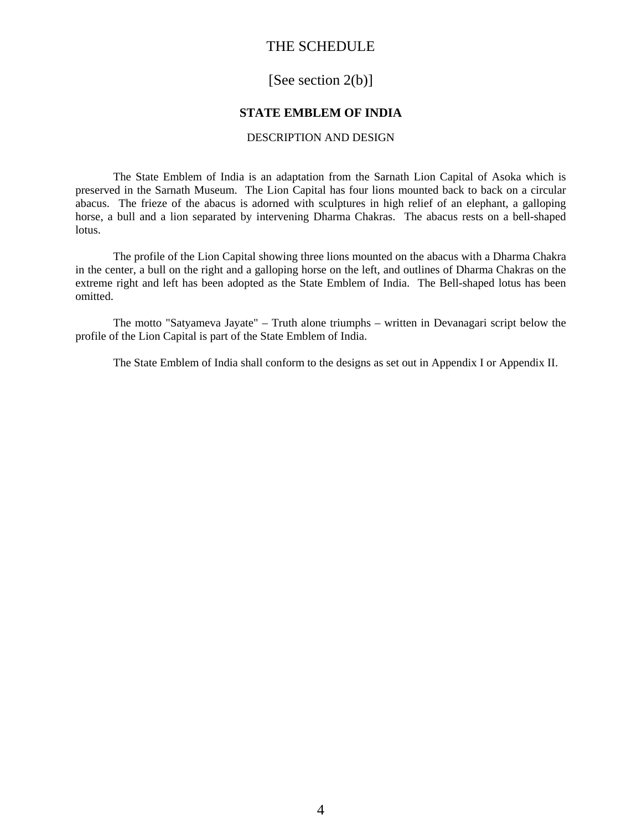## THE SCHEDULE

# [See section 2(b)]

### **STATE EMBLEM OF INDIA**

#### DESCRIPTION AND DESIGN

The State Emblem of India is an adaptation from the Sarnath Lion Capital of Asoka which is preserved in the Sarnath Museum. The Lion Capital has four lions mounted back to back on a circular abacus. The frieze of the abacus is adorned with sculptures in high relief of an elephant, a galloping horse, a bull and a lion separated by intervening Dharma Chakras. The abacus rests on a bell-shaped lotus.

 The profile of the Lion Capital showing three lions mounted on the abacus with a Dharma Chakra in the center, a bull on the right and a galloping horse on the left, and outlines of Dharma Chakras on the extreme right and left has been adopted as the State Emblem of India. The Bell-shaped lotus has been omitted.

 The motto "Satyameva Jayate" – Truth alone triumphs – written in Devanagari script below the profile of the Lion Capital is part of the State Emblem of India.

The State Emblem of India shall conform to the designs as set out in Appendix I or Appendix II.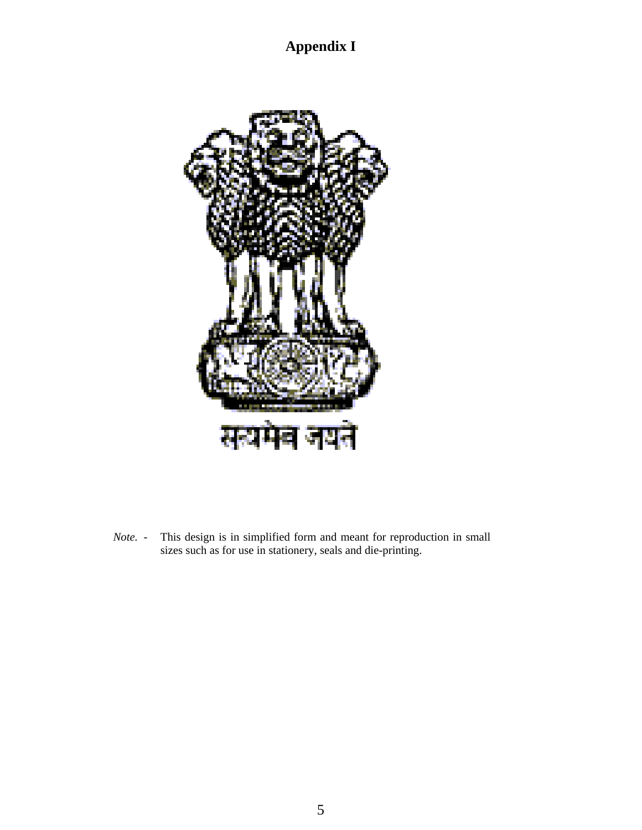**Appendix I**



*Note.* - This design is in simplified form and meant for reproduction in small sizes such as for use in stationery, seals and die-printing.